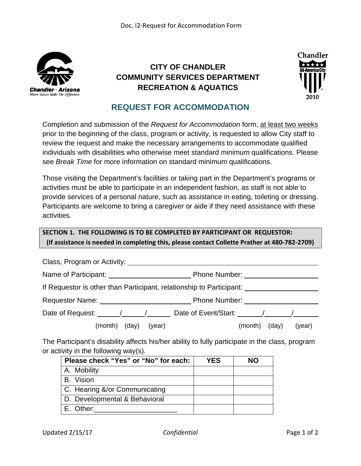

## **CITY OF CHANDLER COMMUNITY SERVICES DEPARTMENT RECREATION & AQUATICS**



## **REQUEST FOR ACCOMMODATION**

Completion and submission of the *Request for Accommodation* form, at least two weeks prior to the beginning of the class, program or activity, is requested to allow City staff to review the request and make the necessary arrangements to accommodate qualified individuals with disabilities who otherwise meet standard minimum qualifications. Please see *Break Time* for more information on standard minimum qualifications.

Those visiting the Department's facilities or taking part in the Department's programs or activities must be able to participate in an independent fashion, as staff is not able to provide services of a personal nature, such as assistance in eating, toileting or dressing. Participants are welcome to bring a caregiver or aide if they need assistance with these activities.

## **SECTION 1. THE FOLLOWING IS TO BE COMPLETED BY PARTICIPANT OR REQUESTOR: (If assistance is needed in completing this, please contact Collette Prather at 480‐782‐2709)**

| Class, Program or Activity:                                                                                                                                                                                                    |                                    |  |  |
|--------------------------------------------------------------------------------------------------------------------------------------------------------------------------------------------------------------------------------|------------------------------------|--|--|
| Name of Participant:                                                                                                                                                                                                           | Phone Number:                      |  |  |
| If Requestor is other than Participant, relationship to Participant:                                                                                                                                                           |                                    |  |  |
| Requestor Name: Name: Name and Allen Manuscript Control of the Manuscript Control of the Manuscript Control of the Manuscript Control of the Manuscript Control of the Manuscript Control of the Manuscript Control of the Man | <b>Phone Number:</b> Phone Number: |  |  |
| Date of Request: $\sqrt{2}$                                                                                                                                                                                                    |                                    |  |  |
| (month)<br>(day)<br>(year)                                                                                                                                                                                                     | (day)<br>(year)<br>(month)         |  |  |

The Participant's disability affects his/her ability to fully participate in the class, program or activity in the following way(s).

| Please check "Yes" or "No" for each: | <b>YES</b> | NΟ |
|--------------------------------------|------------|----|
| A. Mobility                          |            |    |
| B. Vision                            |            |    |
| C. Hearing &/or Communicating        |            |    |
| D. Developmental & Behavioral        |            |    |
| E. Other:                            |            |    |